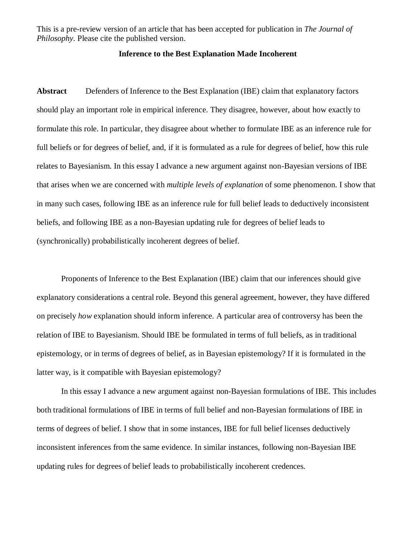This is a pre-review version of an article that has been accepted for publication in *The Journal of Philosophy*. Please cite the published version.

# **Inference to the Best Explanation Made Incoherent**

**Abstract** Defenders of Inference to the Best Explanation (IBE) claim that explanatory factors should play an important role in empirical inference. They disagree, however, about how exactly to formulate this role. In particular, they disagree about whether to formulate IBE as an inference rule for full beliefs or for degrees of belief, and, if it is formulated as a rule for degrees of belief, how this rule relates to Bayesianism. In this essay I advance a new argument against non-Bayesian versions of IBE that arises when we are concerned with *multiple levels of explanation* of some phenomenon. I show that in many such cases, following IBE as an inference rule for full belief leads to deductively inconsistent beliefs, and following IBE as a non-Bayesian updating rule for degrees of belief leads to (synchronically) probabilistically incoherent degrees of belief.

Proponents of Inference to the Best Explanation (IBE) claim that our inferences should give explanatory considerations a central role. Beyond this general agreement, however, they have differed on precisely *how* explanation should inform inference. A particular area of controversy has been the relation of IBE to Bayesianism. Should IBE be formulated in terms of full beliefs, as in traditional epistemology, or in terms of degrees of belief, as in Bayesian epistemology? If it is formulated in the latter way, is it compatible with Bayesian epistemology?

In this essay I advance a new argument against non-Bayesian formulations of IBE. This includes both traditional formulations of IBE in terms of full belief and non-Bayesian formulations of IBE in terms of degrees of belief. I show that in some instances, IBE for full belief licenses deductively inconsistent inferences from the same evidence. In similar instances, following non-Bayesian IBE updating rules for degrees of belief leads to probabilistically incoherent credences.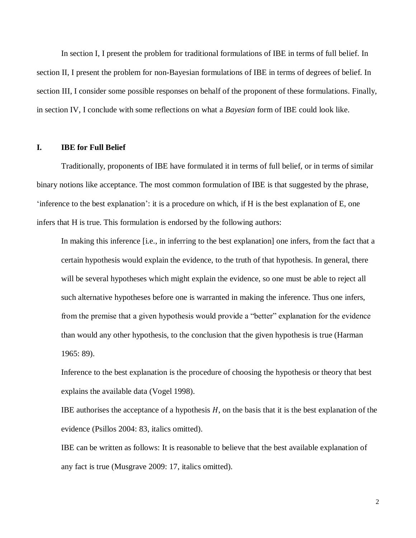In section I, I present the problem for traditional formulations of IBE in terms of full belief. In section II, I present the problem for non-Bayesian formulations of IBE in terms of degrees of belief. In section III, I consider some possible responses on behalf of the proponent of these formulations. Finally, in section IV, I conclude with some reflections on what a *Bayesian* form of IBE could look like.

# **I. IBE for Full Belief**

Traditionally, proponents of IBE have formulated it in terms of full belief, or in terms of similar binary notions like acceptance. The most common formulation of IBE is that suggested by the phrase, 'inference to the best explanation': it is a procedure on which, if H is the best explanation of E, one infers that H is true. This formulation is endorsed by the following authors:

In making this inference [i.e., in inferring to the best explanation] one infers, from the fact that a certain hypothesis would explain the evidence, to the truth of that hypothesis. In general, there will be several hypotheses which might explain the evidence, so one must be able to reject all such alternative hypotheses before one is warranted in making the inference. Thus one infers, from the premise that a given hypothesis would provide a "better" explanation for the evidence than would any other hypothesis, to the conclusion that the given hypothesis is true (Harman 1965: 89).

Inference to the best explanation is the procedure of choosing the hypothesis or theory that best explains the available data (Vogel 1998).

IBE authorises the acceptance of a hypothesis  $H$ , on the basis that it is the best explanation of the evidence (Psillos 2004: 83, italics omitted).

IBE can be written as follows: It is reasonable to believe that the best available explanation of any fact is true (Musgrave 2009: 17, italics omitted).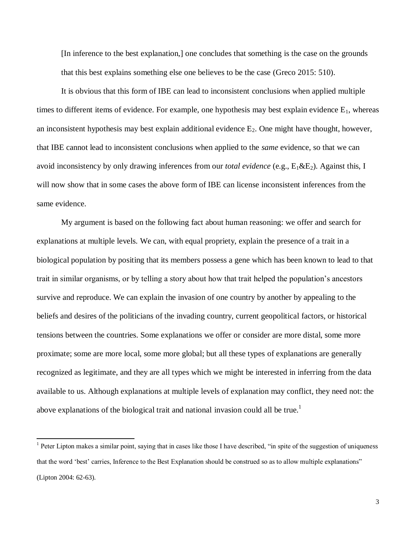[In inference to the best explanation,] one concludes that something is the case on the grounds that this best explains something else one believes to be the case (Greco 2015: 510).

It is obvious that this form of IBE can lead to inconsistent conclusions when applied multiple times to different items of evidence. For example, one hypothesis may best explain evidence  $E_1$ , whereas an inconsistent hypothesis may best explain additional evidence  $E_2$ . One might have thought, however, that IBE cannot lead to inconsistent conclusions when applied to the *same* evidence, so that we can avoid inconsistency by only drawing inferences from our *total evidence* (e.g., E<sub>1</sub>&E<sub>2</sub>). Against this, I will now show that in some cases the above form of IBE can license inconsistent inferences from the same evidence.

My argument is based on the following fact about human reasoning: we offer and search for explanations at multiple levels. We can, with equal propriety, explain the presence of a trait in a biological population by positing that its members possess a gene which has been known to lead to that trait in similar organisms, or by telling a story about how that trait helped the population's ancestors survive and reproduce. We can explain the invasion of one country by another by appealing to the beliefs and desires of the politicians of the invading country, current geopolitical factors, or historical tensions between the countries. Some explanations we offer or consider are more distal, some more proximate; some are more local, some more global; but all these types of explanations are generally recognized as legitimate, and they are all types which we might be interested in inferring from the data available to us. Although explanations at multiple levels of explanation may conflict, they need not: the above explanations of the biological trait and national invasion could all be true.<sup>1</sup>

 $\overline{\phantom{a}}$ 

 $<sup>1</sup>$  Peter Lipton makes a similar point, saying that in cases like those I have described, "in spite of the suggestion of uniqueness</sup> that the word 'best' carries, Inference to the Best Explanation should be construed so as to allow multiple explanations" (Lipton 2004: 62-63).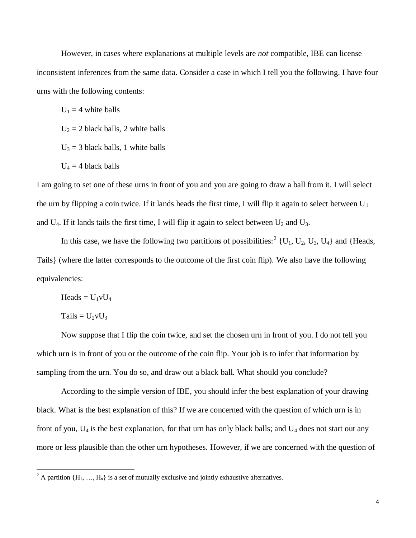However, in cases where explanations at multiple levels are *not* compatible, IBE can license inconsistent inferences from the same data. Consider a case in which I tell you the following. I have four urns with the following contents:

 $U_1 = 4$  white balls

 $U_2 = 2$  black balls, 2 white balls

 $U_3$  = 3 black balls, 1 white balls

 $U_4 = 4$  black balls

I am going to set one of these urns in front of you and you are going to draw a ball from it. I will select the urn by flipping a coin twice. If it lands heads the first time, I will flip it again to select between  $U_1$ and  $U_4$ . If it lands tails the first time, I will flip it again to select between  $U_2$  and  $U_3$ .

In this case, we have the following two partitions of possibilities:<sup>2</sup> {U<sub>1</sub>, U<sub>2</sub>, U<sub>3</sub>, U<sub>4</sub>} and {Heads, Tails} (where the latter corresponds to the outcome of the first coin flip). We also have the following equivalencies:

Heads =  $U_1vU_4$ 

 $Tails = U_2vU_3$ 

 $\overline{a}$ 

Now suppose that I flip the coin twice, and set the chosen urn in front of you. I do not tell you which urn is in front of you or the outcome of the coin flip. Your job is to infer that information by sampling from the urn. You do so, and draw out a black ball. What should you conclude?

According to the simple version of IBE, you should infer the best explanation of your drawing black. What is the best explanation of this? If we are concerned with the question of which urn is in front of you,  $U_4$  is the best explanation, for that urn has only black balls; and  $U_4$  does not start out any more or less plausible than the other urn hypotheses. However, if we are concerned with the question of

<sup>&</sup>lt;sup>2</sup> A partition  $\{H_1, ..., H_n\}$  is a set of mutually exclusive and jointly exhaustive alternatives.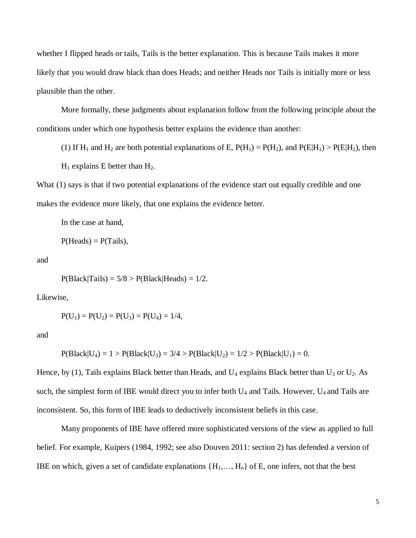whether I flipped heads or tails, Tails is the better explanation. This is because Tails makes it more likely that you would draw black than does Heads; and neither Heads nor Tails is initially more or less plausible than the other.

More formally, these judgments about explanation follow from the following principle about the conditions under which one hypothesis better explains the evidence than another:

(1) If  $H_1$  and  $H_2$  are both potential explanations of E,  $P(H_1) = P(H_2)$ , and  $P(E|H_1) > P(E|H_2)$ , then

 $H_1$  explains E better than  $H_2$ .

What (1) says is that if two potential explanations of the evidence start out equally credible and one makes the evidence more likely, that one explains the evidence better.

In the case at hand,

$$
P(Heads) = P(Tails),
$$

and

 $P(Black|Tails) = 5/8 > P(Black|Heads) = 1/2.$ 

Likewise,

$$
P(U_1) = P(U_2) = P(U_3) = P(U_4) = 1/4,
$$

and

$$
P(Black|U_4) = 1 > P(Black|U_3) = 3/4 > P(Black|U_2) = 1/2 > P(Black|U_1) = 0.
$$

Hence, by (1), Tails explains Black better than Heads, and  $U_4$  explains Black better than  $U_3$  or  $U_2$ . As such, the simplest form of IBE would direct you to infer both  $U_4$  and Tails. However,  $U_4$  and Tails are inconsistent. So, this form of IBE leads to deductively inconsistent beliefs in this case.

Many proponents of IBE have offered more sophisticated versions of the view as applied to full belief. For example, Kuipers (1984, 1992; see also Douven 2011: section 2) has defended a version of IBE on which, given a set of candidate explanations  $\{H_1, \ldots, H_n\}$  of E, one infers, not that the best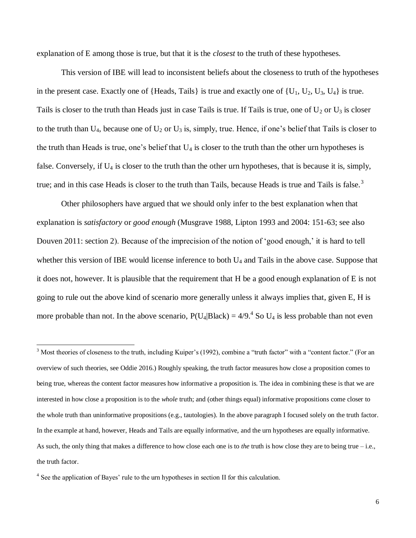explanation of E among those is true, but that it is the *closest* to the truth of these hypotheses.

This version of IBE will lead to inconsistent beliefs about the closeness to truth of the hypotheses in the present case. Exactly one of {Heads, Tails} is true and exactly one of  $\{U_1, U_2, U_3, U_4\}$  is true. Tails is closer to the truth than Heads just in case Tails is true. If Tails is true, one of  $U_2$  or  $U_3$  is closer to the truth than  $U_4$ , because one of  $U_2$  or  $U_3$  is, simply, true. Hence, if one's belief that Tails is closer to the truth than Heads is true, one's belief that  $U_4$  is closer to the truth than the other urn hypotheses is false. Conversely, if U<sup>4</sup> is closer to the truth than the other urn hypotheses, that is because it is, simply, true; and in this case Heads is closer to the truth than Tails, because Heads is true and Tails is false.<sup>3</sup>

Other philosophers have argued that we should only infer to the best explanation when that explanation is *satisfactory* or *good enough* (Musgrave 1988, Lipton 1993 and 2004: 151-63; see also Douven 2011: section 2). Because of the imprecision of the notion of 'good enough,' it is hard to tell whether this version of IBE would license inference to both U<sub>4</sub> and Tails in the above case. Suppose that it does not, however. It is plausible that the requirement that H be a good enough explanation of E is not going to rule out the above kind of scenario more generally unless it always implies that, given E, H is more probable than not. In the above scenario,  $P(U_4|Black) = 4/9$ .<sup>4</sup> So  $U_4$  is less probable than not even

 $\overline{\phantom{a}}$ 

<sup>&</sup>lt;sup>3</sup> Most theories of closeness to the truth, including Kuiper's (1992), combine a "truth factor" with a "content factor." (For an overview of such theories, see Oddie 2016.) Roughly speaking, the truth factor measures how close a proposition comes to being true, whereas the content factor measures how informative a proposition is. The idea in combining these is that we are interested in how close a proposition is to the *whole* truth; and (other things equal) informative propositions come closer to the whole truth than uninformative propositions (e.g., tautologies). In the above paragraph I focused solely on the truth factor. In the example at hand, however, Heads and Tails are equally informative, and the urn hypotheses are equally informative. As such, the only thing that makes a difference to how close each one is to *the* truth is how close they are to being true – i.e., the truth factor.

<sup>&</sup>lt;sup>4</sup> See the application of Bayes' rule to the urn hypotheses in section II for this calculation.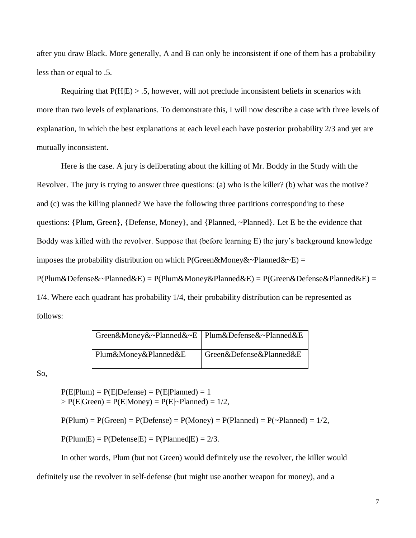after you draw Black. More generally, A and B can only be inconsistent if one of them has a probability less than or equal to .5.

Requiring that  $P(H|E) > .5$ , however, will not preclude inconsistent beliefs in scenarios with more than two levels of explanations. To demonstrate this, I will now describe a case with three levels of explanation, in which the best explanations at each level each have posterior probability 2/3 and yet are mutually inconsistent.

Here is the case. A jury is deliberating about the killing of Mr. Boddy in the Study with the Revolver. The jury is trying to answer three questions: (a) who is the killer? (b) what was the motive? and (c) was the killing planned? We have the following three partitions corresponding to these questions: {Plum, Green}, {Defense, Money}, and {Planned, ~Planned}. Let E be the evidence that Boddy was killed with the revolver. Suppose that (before learning E) the jury's background knowledge imposes the probability distribution on which P(Green&Money&~Planned&~E) =

 $P(Plum&Defense&~-Planned&E) = P(Plum&Money&Planned&E) = P(Green&Defense&Planned&E) = P(Lum&None)$ 1/4. Where each quadrant has probability 1/4, their probability distribution can be represented as follows:

| Green&Money&~Planned&~E   Plum&Defense&~Planned&E |                         |
|---------------------------------------------------|-------------------------|
| Plum&Money&Planned&E                              | Green&Defense&Planned&E |

So,

 $P(E|Plum) = P(E|Defense) = P(E|Planned) = 1$  $> P(E|Green) = P(E|Money) = P(E|\sim Planned) = 1/2,$ 

 $P(Plum) = P(Green) = P(Defense) = P(Money) = P(Planned) = P(\sim Planned) = 1/2$ ,

 $P(Plum|E) = P(Defense|E) = P(Planned|E) = 2/3.$ 

In other words, Plum (but not Green) would definitely use the revolver, the killer would definitely use the revolver in self-defense (but might use another weapon for money), and a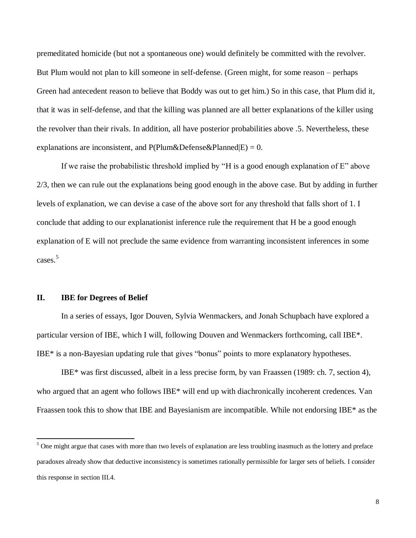premeditated homicide (but not a spontaneous one) would definitely be committed with the revolver. But Plum would not plan to kill someone in self-defense. (Green might, for some reason – perhaps Green had antecedent reason to believe that Boddy was out to get him.) So in this case, that Plum did it, that it was in self-defense, and that the killing was planned are all better explanations of the killer using the revolver than their rivals. In addition, all have posterior probabilities above .5. Nevertheless, these explanations are inconsistent, and  $P(Plum\&Defense\&Planned|E) = 0$ .

If we raise the probabilistic threshold implied by "H is a good enough explanation of  $E$ " above 2/3, then we can rule out the explanations being good enough in the above case. But by adding in further levels of explanation, we can devise a case of the above sort for any threshold that falls short of 1. I conclude that adding to our explanationist inference rule the requirement that H be a good enough explanation of E will not preclude the same evidence from warranting inconsistent inferences in some cases. 5

# **II. IBE for Degrees of Belief**

 $\overline{\phantom{a}}$ 

In a series of essays, Igor Douven, Sylvia Wenmackers, and Jonah Schupbach have explored a particular version of IBE, which I will, following Douven and Wenmackers forthcoming, call IBE\*. IBE\* is a non-Bayesian updating rule that gives "bonus" points to more explanatory hypotheses.

IBE\* was first discussed, albeit in a less precise form, by van Fraassen (1989: ch. 7, section 4), who argued that an agent who follows IBE\* will end up with diachronically incoherent credences. Van Fraassen took this to show that IBE and Bayesianism are incompatible. While not endorsing IBE\* as the

 $5$  One might argue that cases with more than two levels of explanation are less troubling inasmuch as the lottery and preface paradoxes already show that deductive inconsistency is sometimes rationally permissible for larger sets of beliefs. I consider this response in section III.4.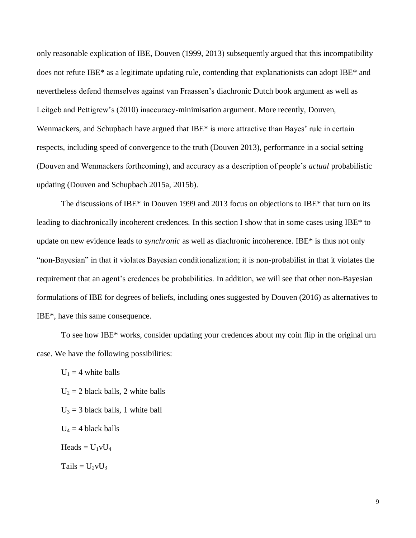only reasonable explication of IBE, Douven (1999, 2013) subsequently argued that this incompatibility does not refute IBE\* as a legitimate updating rule, contending that explanationists can adopt IBE\* and nevertheless defend themselves against van Fraassen's diachronic Dutch book argument as well as Leitgeb and Pettigrew's (2010) inaccuracy-minimisation argument. More recently, Douven, Wenmackers, and Schupbach have argued that IBE<sup>\*</sup> is more attractive than Bayes' rule in certain respects, including speed of convergence to the truth (Douven 2013), performance in a social setting (Douven and Wenmackers forthcoming), and accuracy as a description of people's *actual* probabilistic updating (Douven and Schupbach 2015a, 2015b).

The discussions of IBE\* in Douven 1999 and 2013 focus on objections to IBE\* that turn on its leading to diachronically incoherent credences. In this section I show that in some cases using IBE\* to update on new evidence leads to *synchronic* as well as diachronic incoherence. IBE\* is thus not only "non-Bayesian" in that it violates Bayesian conditionalization; it is non-probabilist in that it violates the requirement that an agent's credences be probabilities. In addition, we will see that other non-Bayesian formulations of IBE for degrees of beliefs, including ones suggested by Douven (2016) as alternatives to IBE\*, have this same consequence.

To see how IBE\* works, consider updating your credences about my coin flip in the original urn case. We have the following possibilities:

 $U_1 = 4$  white balls

 $U_2 = 2$  black balls, 2 white balls

 $U_3 = 3$  black balls, 1 white ball

 $U_4 = 4$  black balls

Heads =  $U_1vU_4$ 

 $Tails = U_2vU_3$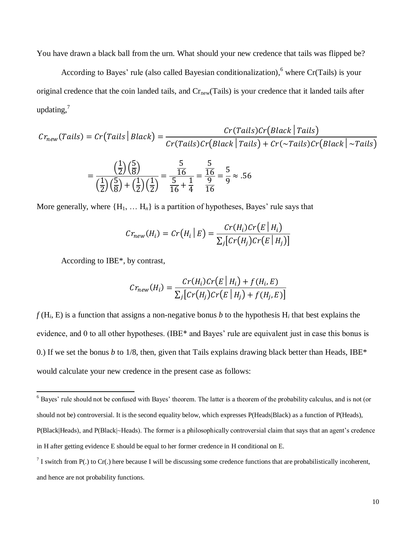You have drawn a black ball from the urn. What should your new credence that tails was flipped be?

According to Bayes' rule (also called Bayesian conditionalization), <sup>6</sup> where Cr(Tails) is your original credence that the coin landed tails, and  $Cr<sub>new</sub>(Tails)$  is your credence that it landed tails after updating, $^7$ 

$$
Cr_{new}(Tails) = Cr(Tails | Black) = \frac{Cr(Tails)Cr(Black |Tails)}{Cr(Tails)Cr(Black |Tails) + Cr(\sim Tails)Cr(Black |Nexists)}
$$

$$
= \frac{\left(\frac{1}{2}\right)\left(\frac{5}{8}\right)}{\left(\frac{1}{2}\right)\left(\frac{5}{8}\right) + \left(\frac{1}{2}\right)\left(\frac{1}{2}\right)} = \frac{\frac{5}{16}}{\frac{5}{16} + \frac{1}{4}} = \frac{\frac{5}{16}}{\frac{9}{16}} = \frac{5}{9} \approx .56
$$

More generally, where  ${H_1, \ldots H_n}$  is a partition of hypotheses, Bayes' rule says that

$$
Cr_{new}(H_i) = Cr\big(H_i \mid E\big) = \frac{Cr(H_i)Cr\big(E \mid H_i\big)}{\sum_j \big[Cr\big(H_j\big)Cr\big(E \mid H_j\big)\big]}
$$

According to IBE\*, by contrast,

 $\overline{a}$ 

$$
Cr_{new}(H_i) = \frac{Cr(H_i)Cr(E | H_i) + f(H_i, E)}{\sum_j [Cr(H_j)Cr(E | H_j) + f(H_j, E)]}
$$

 $f(H_i, E)$  is a function that assigns a non-negative bonus *b* to the hypothesis  $H_i$  that best explains the evidence, and 0 to all other hypotheses. (IBE\* and Bayes' rule are equivalent just in case this bonus is 0.) If we set the bonus *b* to 1/8, then, given that Tails explains drawing black better than Heads, IBE\* would calculate your new credence in the present case as follows:

<sup>6</sup> Bayes' rule should not be confused with Bayes' theorem. The latter is a theorem of the probability calculus, and is not (or should not be) controversial. It is the second equality below, which expresses P(Heads|Black) as a function of P(Heads), P(Black|Heads), and P(Black|~Heads). The former is a philosophically controversial claim that says that an agent's credence in H after getting evidence E should be equal to her former credence in H conditional on E.

 $^7$  I switch from P(.) to Cr(.) here because I will be discussing some credence functions that are probabilistically incoherent, and hence are not probability functions.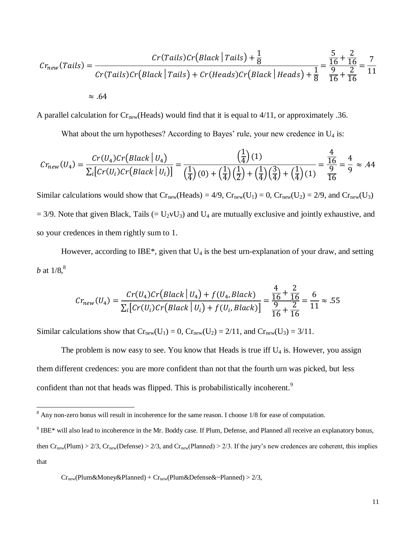$$
Cr_{new}(Tails) = \frac{Cr(Tails)Cr\left(Black \mid Tails\right) + \frac{1}{8}}{Cr(Tails)Cr\left(Black \mid Tails\right) + Cr\left(Heads\right)Cr\left(Black \mid Heads\right) + \frac{1}{8}} = \frac{\frac{5}{16} + \frac{2}{16}}{\frac{9}{16} + \frac{2}{16}} = \frac{7}{11}
$$
  
~\approx .64

A parallel calculation for  $Cr_{new}(Heads)$  would find that it is equal to 4/11, or approximately .36.

What about the urn hypotheses? According to Bayes' rule, your new credence in  $U_4$  is:

$$
Cr_{new}(U_4) = \frac{Cr(U_4)Cr(Black | U_4)}{\sum_i [Cr(U_i)Cr(Black | U_i)]} = \frac{\left(\frac{1}{4}\right)(1)}{\left(\frac{1}{4}\right)(0) + \left(\frac{1}{4}\right)\left(\frac{1}{2}\right) + \left(\frac{1}{4}\right)\left(\frac{3}{4}\right) + \left(\frac{1}{4}\right)(1)} = \frac{\frac{4}{16}}{\frac{9}{16}} = \frac{4}{9} \approx .44
$$

Similar calculations would show that  $Cr_{new}(Heads) = 4/9$ ,  $Cr_{new}(U_1) = 0$ ,  $Cr_{new}(U_2) = 2/9$ , and  $Cr_{new}(U_3)$  $= 3/9$ . Note that given Black, Tails ( $= U_2 v U_3$ ) and  $U_4$  are mutually exclusive and jointly exhaustive, and so your credences in them rightly sum to 1.

However, according to IBE\*, given that  $U_4$  is the best urn-explanation of your draw, and setting b at  $1/8$ ,  $8$ 

$$
Cr_{new}(U_4) = \frac{Cr(U_4)Cr\left(Black \mid U_4\right) + f(U_4, Black)\n}{\sum_i \left[ Cr(U_i)Cr\left(Black \mid U_i\right) + f(U_i, Black)\right]} = \frac{\frac{4}{16} + \frac{2}{16}}{\frac{9}{16} + \frac{2}{16}} = \frac{6}{11} \approx .55
$$

Similar calculations show that  $Cr_{new}(U_1) = 0$ ,  $Cr_{new}(U_2) = 2/11$ , and  $Cr_{new}(U_3) = 3/11$ .

The problem is now easy to see. You know that Heads is true iff  $U_4$  is. However, you assign them different credences: you are more confident than not that the fourth urn was picked, but less confident than not that heads was flipped. This is probabilistically incoherent.<sup>9</sup>

 $\overline{\phantom{a}}$ 

 $8$  Any non-zero bonus will result in incoherence for the same reason. I choose 1/8 for ease of computation.

 $9$  IBE\* will also lead to incoherence in the Mr. Boddy case. If Plum, Defense, and Planned all receive an explanatory bonus, then  $Cr_{new}(Plum) > 2/3$ ,  $Cr_{new}(Defense) > 2/3$ , and  $Cr_{new}(Planned) > 2/3$ . If the jury's new credences are coherent, this implies that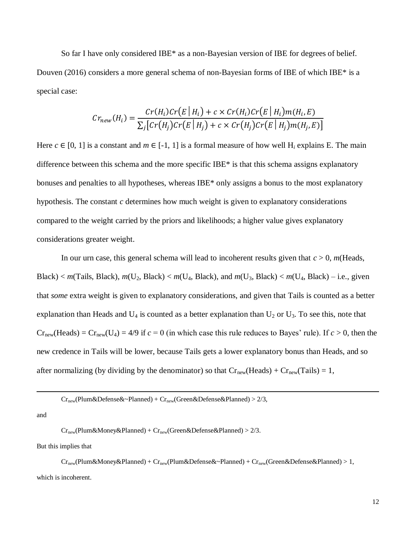So far I have only considered IBE\* as a non-Bayesian version of IBE for degrees of belief. Douven (2016) considers a more general schema of non-Bayesian forms of IBE of which IBE\* is a special case:

$$
Cr_{new}(H_i) = \frac{Cr(H_i)Cr(E \mid H_i) + c \times Cr(H_i)Cr(E \mid H_i)m(H_i, E)}{\sum_j [Cr(H_j)Cr(E \mid H_j) + c \times Cr(H_j)Cr(E \mid H_j)m(H_j, E)]}
$$

Here  $c \in [0, 1]$  is a constant and  $m \in [-1, 1]$  is a formal measure of how well H<sub>i</sub> explains E. The main difference between this schema and the more specific IBE\* is that this schema assigns explanatory bonuses and penalties to all hypotheses, whereas IBE\* only assigns a bonus to the most explanatory hypothesis. The constant *c* determines how much weight is given to explanatory considerations compared to the weight carried by the priors and likelihoods; a higher value gives explanatory considerations greater weight.

In our urn case, this general schema will lead to incoherent results given that *c* > 0, *m*(Heads, Black)  $\lt m$  (Tails, Black),  $m(U_2, Black) \lt m(U_4, Black)$ , and  $m(U_3, Black) \lt m(U_4, Black) - i.e.,$  given that *some* extra weight is given to explanatory considerations, and given that Tails is counted as a better explanation than Heads and  $U_4$  is counted as a better explanation than  $U_2$  or  $U_3$ . To see this, note that  $Cr_{new}(Heads) = Cr_{new}(U_4) = 4/9$  if  $c = 0$  (in which case this rule reduces to Bayes' rule). If  $c > 0$ , then the new credence in Tails will be lower, because Tails gets a lower explanatory bonus than Heads, and so after normalizing (by dividing by the denominator) so that  $Cr_{new}(Heads) + Cr_{new}(Tails) = 1$ ,

and

 $\overline{a}$ 

 $Cr<sub>new</sub>(Plum&Money&Planned) + Cr<sub>new</sub>(Green&Defense&Planned) > 2/3.$ 

But this implies that

 $Cr_{new}(Plum\&Money\&Planned) + Cr_{new}(Plum\&Defense\&\sim Planned) + Cr_{new}(Green\&Defense\&Planned) > 1,$ which is incoherent.

 $Cr_{new}(Plum\&Defense\&\sim Planned) + Cr_{new}(Green\&Defense\&Planned) > 2/3,$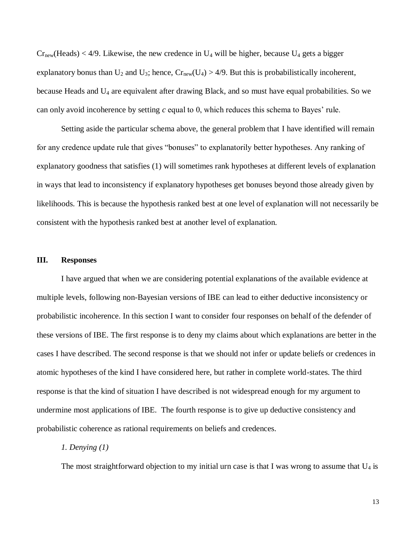$Cr<sub>new</sub>(Heads) < 4/9$ . Likewise, the new credence in  $U_4$  will be higher, because  $U_4$  gets a bigger explanatory bonus than  $U_2$  and  $U_3$ ; hence,  $Cr_{new}(U_4) > 4/9$ . But this is probabilistically incoherent, because Heads and U<sup>4</sup> are equivalent after drawing Black, and so must have equal probabilities. So we can only avoid incoherence by setting *c* equal to 0, which reduces this schema to Bayes' rule.

Setting aside the particular schema above, the general problem that I have identified will remain for any credence update rule that gives "bonuses" to explanatorily better hypotheses. Any ranking of explanatory goodness that satisfies (1) will sometimes rank hypotheses at different levels of explanation in ways that lead to inconsistency if explanatory hypotheses get bonuses beyond those already given by likelihoods. This is because the hypothesis ranked best at one level of explanation will not necessarily be consistent with the hypothesis ranked best at another level of explanation.

### **III. Responses**

I have argued that when we are considering potential explanations of the available evidence at multiple levels, following non-Bayesian versions of IBE can lead to either deductive inconsistency or probabilistic incoherence. In this section I want to consider four responses on behalf of the defender of these versions of IBE. The first response is to deny my claims about which explanations are better in the cases I have described. The second response is that we should not infer or update beliefs or credences in atomic hypotheses of the kind I have considered here, but rather in complete world-states. The third response is that the kind of situation I have described is not widespread enough for my argument to undermine most applications of IBE. The fourth response is to give up deductive consistency and probabilistic coherence as rational requirements on beliefs and credences.

### *1. Denying (1)*

The most straightforward objection to my initial urn case is that I was wrong to assume that  $U_4$  is

13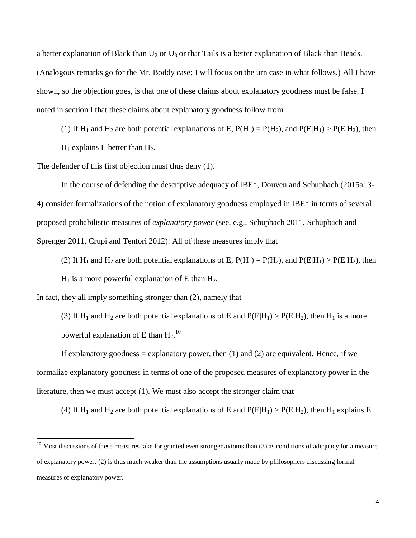a better explanation of Black than  $U_2$  or  $U_3$  or that Tails is a better explanation of Black than Heads. (Analogous remarks go for the Mr. Boddy case; I will focus on the urn case in what follows.) All I have shown, so the objection goes, is that one of these claims about explanatory goodness must be false. I noted in section I that these claims about explanatory goodness follow from

(1) If  $H_1$  and  $H_2$  are both potential explanations of E,  $P(H_1) = P(H_2)$ , and  $P(E|H_1) > P(E|H_2)$ , then

 $H_1$  explains E better than  $H_2$ .

 $\overline{\phantom{a}}$ 

The defender of this first objection must thus deny (1).

In the course of defending the descriptive adequacy of IBE\*, Douven and Schupbach (2015a: 3- 4) consider formalizations of the notion of explanatory goodness employed in IBE\* in terms of several proposed probabilistic measures of *explanatory power* (see, e.g., Schupbach 2011, Schupbach and Sprenger 2011, Crupi and Tentori 2012). All of these measures imply that

(2) If H<sub>1</sub> and H<sub>2</sub> are both potential explanations of E,  $P(H_1) = P(H_2)$ , and  $P(E|H_1) > P(E|H_2)$ , then

 $H_1$  is a more powerful explanation of E than  $H_2$ .

In fact, they all imply something stronger than (2), namely that

(3) If H<sub>1</sub> and H<sub>2</sub> are both potential explanations of E and  $P(E|H_1) > P(E|H_2)$ , then H<sub>1</sub> is a more powerful explanation of E than  $\rm{H_2.^{10}}$ 

If explanatory goodness = explanatory power, then  $(1)$  and  $(2)$  are equivalent. Hence, if we formalize explanatory goodness in terms of one of the proposed measures of explanatory power in the literature, then we must accept (1). We must also accept the stronger claim that

(4) If H<sub>1</sub> and H<sub>2</sub> are both potential explanations of E and  $P(E|H_1) > P(E|H_2)$ , then H<sub>1</sub> explains E

 $10$  Most discussions of these measures take for granted even stronger axioms than (3) as conditions of adequacy for a measure of explanatory power. (2) is thus much weaker than the assumptions usually made by philosophers discussing formal measures of explanatory power.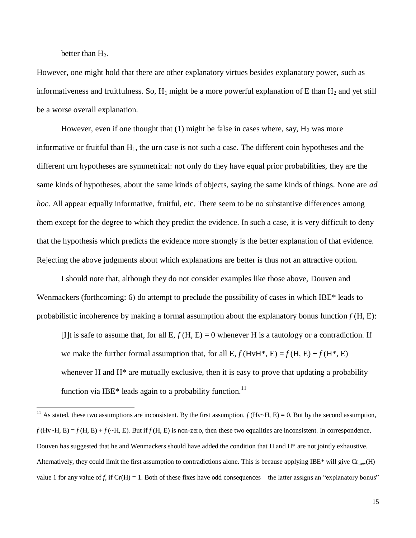better than  $H_2$ .

 $\overline{\phantom{a}}$ 

However, one might hold that there are other explanatory virtues besides explanatory power, such as informativeness and fruitfulness. So,  $H_1$  might be a more powerful explanation of E than  $H_2$  and yet still be a worse overall explanation.

However, even if one thought that  $(1)$  might be false in cases where, say,  $H_2$  was more informative or fruitful than  $H_1$ , the urn case is not such a case. The different coin hypotheses and the different urn hypotheses are symmetrical: not only do they have equal prior probabilities, they are the same kinds of hypotheses, about the same kinds of objects, saying the same kinds of things. None are *ad hoc*. All appear equally informative, fruitful, etc. There seem to be no substantive differences among them except for the degree to which they predict the evidence. In such a case, it is very difficult to deny that the hypothesis which predicts the evidence more strongly is the better explanation of that evidence. Rejecting the above judgments about which explanations are better is thus not an attractive option.

I should note that, although they do not consider examples like those above, Douven and Wenmackers (forthcoming: 6) do attempt to preclude the possibility of cases in which IBE\* leads to probabilistic incoherence by making a formal assumption about the explanatory bonus function *f* (H, E):

[I]t is safe to assume that, for all E,  $f(H, E) = 0$  whenever H is a tautology or a contradiction. If we make the further formal assumption that, for all E,  $f$ (HvH<sup>\*</sup>, E) =  $f$ (H, E) +  $f$ (H<sup>\*</sup>, E) whenever H and  $H^*$  are mutually exclusive, then it is easy to prove that updating a probability function via IBE\* leads again to a probability function.<sup>11</sup>

<sup>&</sup>lt;sup>11</sup> As stated, these two assumptions are inconsistent. By the first assumption,  $f$ (Hv~H, E) = 0. But by the second assumption,  $f$ (Hv~H, E) =  $f$ (H, E) +  $f$ (~H, E). But if  $f$ (H, E) is non-zero, then these two equalities are inconsistent. In correspondence, Douven has suggested that he and Wenmackers should have added the condition that H and H<sup>\*</sup> are not jointly exhaustive. Alternatively, they could limit the first assumption to contradictions alone. This is because applying IBE\* will give  $Cr_{new}(H)$ value 1 for any value of f, if  $Cr(H) = 1$ . Both of these fixes have odd consequences – the latter assigns an "explanatory bonus"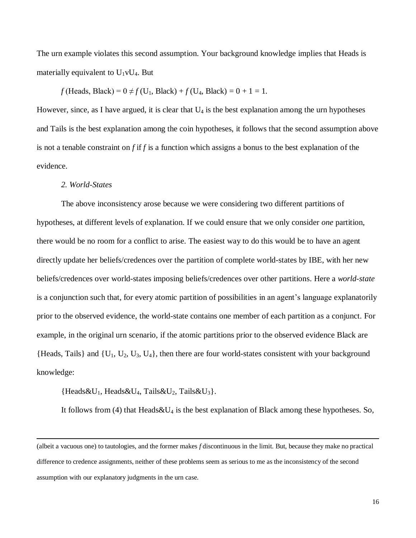The urn example violates this second assumption. Your background knowledge implies that Heads is materially equivalent to  $U_1vU_4$ . But

*f* (Heads, Black) =  $0 \neq f(U_1, Black) + f(U_4, Black) = 0 + 1 = 1$ .

However, since, as I have argued, it is clear that  $U_4$  is the best explanation among the urn hypotheses and Tails is the best explanation among the coin hypotheses, it follows that the second assumption above is not a tenable constraint on *f* if *f* is a function which assigns a bonus to the best explanation of the evidence.

#### *2. World-States*

 $\overline{\phantom{a}}$ 

The above inconsistency arose because we were considering two different partitions of hypotheses, at different levels of explanation. If we could ensure that we only consider *one* partition, there would be no room for a conflict to arise. The easiest way to do this would be to have an agent directly update her beliefs/credences over the partition of complete world-states by IBE, with her new beliefs/credences over world-states imposing beliefs/credences over other partitions. Here a *world-state* is a conjunction such that, for every atomic partition of possibilities in an agent's language explanatorily prior to the observed evidence, the world-state contains one member of each partition as a conjunct. For example, in the original urn scenario, if the atomic partitions prior to the observed evidence Black are  ${Heads, Tails}$  and  ${U_1, U_2, U_3, U_4}$ , then there are four world-states consistent with your background knowledge:

 ${Heads\&U_1, Heads\&U_4, Tails\&U_2, Tails\&U_3}.$ 

It follows from (4) that Heads & U<sub>4</sub> is the best explanation of Black among these hypotheses. So,

<sup>(</sup>albeit a vacuous one) to tautologies, and the former makes *f* discontinuous in the limit. But, because they make no practical difference to credence assignments, neither of these problems seem as serious to me as the inconsistency of the second assumption with our explanatory judgments in the urn case.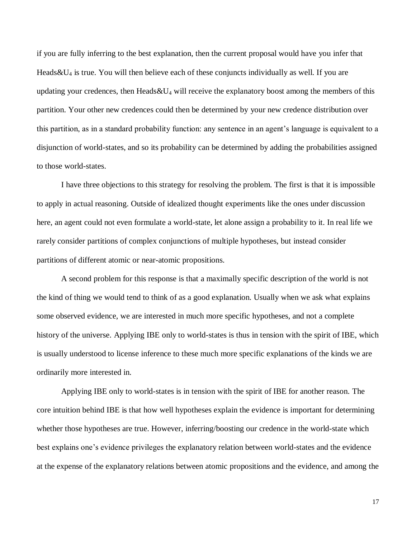if you are fully inferring to the best explanation, then the current proposal would have you infer that Heads  $&U_4$  is true. You will then believe each of these conjuncts individually as well. If you are updating your credences, then Heads  $&U_4$  will receive the explanatory boost among the members of this partition. Your other new credences could then be determined by your new credence distribution over this partition, as in a standard probability function: any sentence in an agent's language is equivalent to a disjunction of world-states, and so its probability can be determined by adding the probabilities assigned to those world-states.

I have three objections to this strategy for resolving the problem. The first is that it is impossible to apply in actual reasoning. Outside of idealized thought experiments like the ones under discussion here, an agent could not even formulate a world-state, let alone assign a probability to it. In real life we rarely consider partitions of complex conjunctions of multiple hypotheses, but instead consider partitions of different atomic or near-atomic propositions.

A second problem for this response is that a maximally specific description of the world is not the kind of thing we would tend to think of as a good explanation. Usually when we ask what explains some observed evidence, we are interested in much more specific hypotheses, and not a complete history of the universe. Applying IBE only to world-states is thus in tension with the spirit of IBE, which is usually understood to license inference to these much more specific explanations of the kinds we are ordinarily more interested in.

Applying IBE only to world-states is in tension with the spirit of IBE for another reason. The core intuition behind IBE is that how well hypotheses explain the evidence is important for determining whether those hypotheses are true. However, inferring/boosting our credence in the world-state which best explains one's evidence privileges the explanatory relation between world-states and the evidence at the expense of the explanatory relations between atomic propositions and the evidence, and among the

17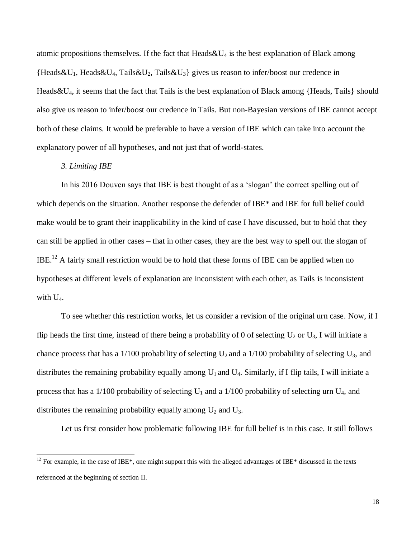atomic propositions themselves. If the fact that  $Heads&U<sub>4</sub>$  is the best explanation of Black among  ${Heads\&U_1, Heads\&U_4, Tails\&U_2, Tails\&U_3}$  gives us reason to infer/boost our credence in Heads&U4, it seems that the fact that Tails is the best explanation of Black among {Heads, Tails} should also give us reason to infer/boost our credence in Tails. But non-Bayesian versions of IBE cannot accept both of these claims. It would be preferable to have a version of IBE which can take into account the explanatory power of all hypotheses, and not just that of world-states.

### *3. Limiting IBE*

 $\overline{\phantom{a}}$ 

In his 2016 Douven says that IBE is best thought of as a 'slogan' the correct spelling out of which depends on the situation. Another response the defender of IBE\* and IBE for full belief could make would be to grant their inapplicability in the kind of case I have discussed, but to hold that they can still be applied in other cases – that in other cases, they are the best way to spell out the slogan of IBE.<sup>12</sup> A fairly small restriction would be to hold that these forms of IBE can be applied when no hypotheses at different levels of explanation are inconsistent with each other, as Tails is inconsistent with U4.

To see whether this restriction works, let us consider a revision of the original urn case. Now, if I flip heads the first time, instead of there being a probability of 0 of selecting  $U_2$  or  $U_3$ , I will initiate a chance process that has a 1/100 probability of selecting  $U_2$  and a 1/100 probability of selecting  $U_3$ , and distributes the remaining probability equally among  $U_1$  and  $U_4$ . Similarly, if I flip tails, I will initiate a process that has a 1/100 probability of selecting  $U_1$  and a 1/100 probability of selecting urn  $U_4$ , and distributes the remaining probability equally among  $U_2$  and  $U_3$ .

Let us first consider how problematic following IBE for full belief is in this case. It still follows

<sup>&</sup>lt;sup>12</sup> For example, in the case of IBE\*, one might support this with the alleged advantages of IBE\* discussed in the texts referenced at the beginning of section II.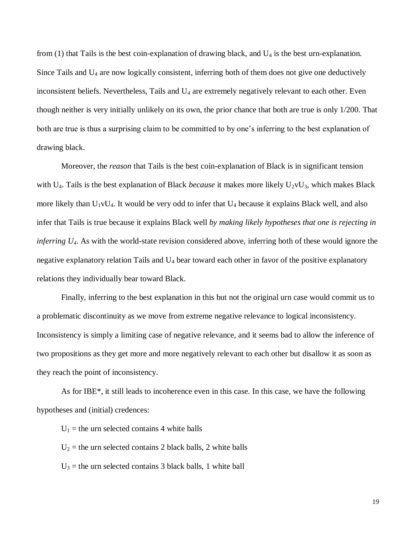from  $(1)$  that Tails is the best coin-explanation of drawing black, and  $U_4$  is the best urn-explanation. Since Tails and U<sup>4</sup> are now logically consistent, inferring both of them does not give one deductively inconsistent beliefs. Nevertheless, Tails and U<sub>4</sub> are extremely negatively relevant to each other. Even though neither is very initially unlikely on its own, the prior chance that both are true is only 1/200. That both are true is thus a surprising claim to be committed to by one's inferring to the best explanation of drawing black.

Moreover, the *reason* that Tails is the best coin-explanation of Black is in significant tension with U<sub>4</sub>. Tails is the best explanation of Black *because* it makes more likely U<sub>2</sub>vU<sub>3</sub>, which makes Black more likely than  $U_1vU_4$ . It would be very odd to infer that  $U_4$  because it explains Black well, and also infer that Tails is true because it explains Black well *by making likely hypotheses that one is rejecting in inferring U4*. As with the world-state revision considered above, inferring both of these would ignore the negative explanatory relation Tails and  $U_4$  bear toward each other in favor of the positive explanatory relations they individually bear toward Black.

Finally, inferring to the best explanation in this but not the original urn case would commit us to a problematic discontinuity as we move from extreme negative relevance to logical inconsistency. Inconsistency is simply a limiting case of negative relevance, and it seems bad to allow the inference of two propositions as they get more and more negatively relevant to each other but disallow it as soon as they reach the point of inconsistency.

As for IBE\*, it still leads to incoherence even in this case. In this case, we have the following hypotheses and (initial) credences:

 $U_1$  = the urn selected contains 4 white balls

 $U_2$  = the urn selected contains 2 black balls, 2 white balls

 $U_3$  = the urn selected contains 3 black balls, 1 white ball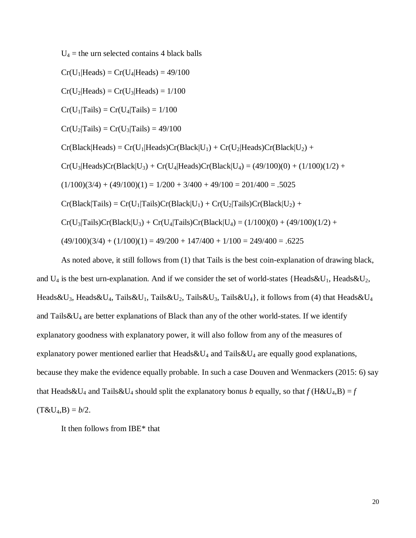$U_4$  = the urn selected contains 4 black balls

 $Cr(U_1|Heads) = Cr(U_4|Heads) = 49/100$ 

 $Cr(U<sub>2</sub>|Heads) = Cr(U<sub>3</sub>|Heads) = 1/100$ 

 $Cr(U_1|Tails) = Cr(U_4|Tails) = 1/100$ 

 $Cr(U_2|Tails) = Cr(U_3|Tails) = 49/100$ 

 $Cr(Black|Heads) = Cr(U<sub>1</sub>|Heads)Cr(Black|U<sub>1</sub>) + Cr(U<sub>2</sub>|Heads)Cr(Black|U<sub>2</sub>) +$ 

 $Cr(U_3|Heads)Cr(Black|U_3) + Cr(U_4|Heads)Cr(Black|U_4) = (49/100)(0) + (1/100)(1/2) +$ 

 $(1/100)(3/4) + (49/100)(1) = 1/200 + 3/400 + 49/100 = 201/400 = .5025$ 

 $Cr(Black|Tails) = Cr(U_1|Tails)Cr(Black|U_1) + Cr(U_2|Tails)Cr(Black|U_2) +$ 

 $Cr(U_3|Tails)Cr(Black|U_3) + Cr(U_4|Tails)Cr(Black|U_4) = (1/100)(0) + (49/100)(1/2) +$ 

 $(49/100)(3/4) + (1/100)(1) = 49/200 + 147/400 + 1/100 = 249/400 = .6225$ 

As noted above, it still follows from (1) that Tails is the best coin-explanation of drawing black, and  $U_4$  is the best urn-explanation. And if we consider the set of world-states {Heads&U<sub>1</sub>, Heads&U<sub>2</sub>, Heads & U<sub>3</sub>, Heads & U<sub>4</sub>, Tails & U<sub>1</sub>, Tails & U<sub>2</sub>, Tails & U<sub>3</sub>, Tails & U<sub>4</sub>}, it follows from (4) that Heads & U<sub>4</sub> and Tails $&\&U_4$  are better explanations of Black than any of the other world-states. If we identify explanatory goodness with explanatory power, it will also follow from any of the measures of explanatory power mentioned earlier that Heads  $\&U_4$  and Tails  $&\&U_4$  are equally good explanations, because they make the evidence equally probable. In such a case Douven and Wenmackers (2015: 6) say that Heads&U<sub>4</sub> and Tails&U<sub>4</sub> should split the explanatory bonus *b* equally, so that  $f$  (H&U<sub>4</sub>,B) =  $f$  $(T&U_4,B) = b/2.$ 

It then follows from IBE\* that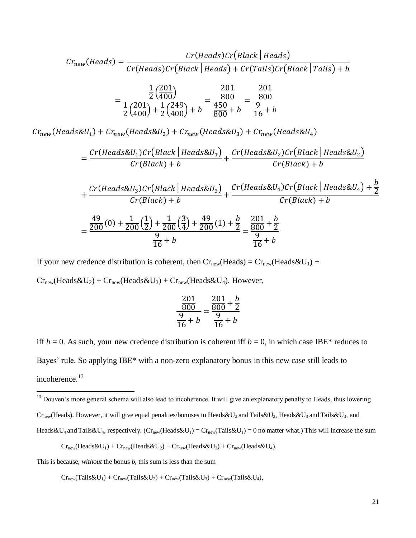$$
Cr_{new}(Heads) = \frac{Cr(Heads)Cr(Black|Heads)}{Cr(Heads)Cr(Black|Heads) + Cr(Tails)Cr(Black|Tails) + b}
$$
  
1/201) 201 201

$$
= \frac{\frac{1}{2} \left(\frac{201}{400}\right)}{\frac{1}{2} \left(\frac{201}{400}\right) + \frac{1}{2} \left(\frac{249}{400}\right) + b} = \frac{\frac{201}{800}}{\frac{450}{800} + b} = \frac{\frac{201}{800}}{\frac{9}{16} + b}
$$

 $Cr_{new}(Heads \& U_1) + Cr_{new}(Heads \& U_2) + Cr_{new}(Heads \& U_3) + Cr_{new}(Heads \& U_4)$ 

$$
=\frac{Cr(Heads\&U_1)Cr(Black|Heads\&U_1)}{Cr(Black)+b}+\frac{Cr(Heads\&U_2)Cr(Black|Heads\&U_2)}{Cr(Black)+b}
$$

$$
+\frac{Cr(Heads\&U_3)Cr\left(Black \mid Heads\&U_3\right)}{Cr\left(Black \mid + b\right)} + \frac{Cr\left(Heads\&U_4\right)Cr\left(Black \mid Heads\&U_4\right) + \frac{b}{2}}{Cr\left(Black \mid + b\right)}
$$

$$
=\frac{\frac{49}{200}(0) + \frac{1}{200}\left(\frac{1}{2}\right) + \frac{1}{200}\left(\frac{3}{4}\right) + \frac{49}{200}(1) + \frac{b}{2}}{\frac{9}{16} + b} = \frac{\frac{201}{9} + \frac{b}{2}}{\frac{9}{16} + b}
$$

If your new credence distribution is coherent, then  $Cr_{new}(Heads) = Cr_{new}(Heads \& U_1) +$ 

 $Cr_{new}(Heads\&U_2) + Cr_{new}(Heads\&U_3) + Cr_{new}(Heads\&U_4)$ . However,

$$
\frac{\frac{201}{800}}{\frac{9}{16} + b} = \frac{\frac{201}{800} + \frac{b}{2}}{\frac{9}{16} + b}
$$

iff  $b = 0$ . As such, your new credence distribution is coherent iff  $b = 0$ , in which case IBE\* reduces to Bayes' rule. So applying IBE\* with a non-zero explanatory bonus in this new case still leads to incoherence.<sup>13</sup>

<sup>13</sup> Douven's more general schema will also lead to incoherence. It will give an explanatory penalty to Heads, thus lowering  $Cr_{new}(Heads)$ . However, it will give equal penalties/bonuses to Heads & U<sub>2</sub> and Tails & U<sub>2</sub>, Heads & U<sub>3</sub> and Tails & U<sub>3</sub>, and Heads & U<sub>4</sub> and Tails & U<sub>4</sub>, respectively. (Cr<sub>new</sub>(Heads & U<sub>1</sub>) = Cr<sub>new</sub>(Tails & U<sub>1</sub>) = 0 no matter what.) This will increase the sum

 $Cr_{new}(Heads\&U_1) + Cr_{new}(Heads\&U_2) + Cr_{new}(Heads\&U_3) + Cr_{new}(Heads\&U_4).$ 

This is because, *without* the bonus *b*, this sum is less than the sum

 $\overline{a}$ 

 $Cr_{new}(Tails \& U_1) + Cr_{new}(Tails \& U_2) + Cr_{new}(Tails \& U_3) + Cr_{new}(Tails \& U_4),$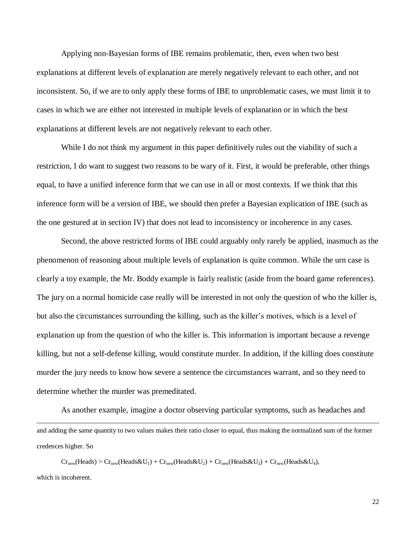Applying non-Bayesian forms of IBE remains problematic, then, even when two best explanations at different levels of explanation are merely negatively relevant to each other, and not inconsistent. So, if we are to only apply these forms of IBE to unproblematic cases, we must limit it to cases in which we are either not interested in multiple levels of explanation or in which the best explanations at different levels are not negatively relevant to each other.

While I do not think my argument in this paper definitively rules out the viability of such a restriction, I do want to suggest two reasons to be wary of it. First, it would be preferable, other things equal, to have a unified inference form that we can use in all or most contexts. If we think that this inference form will be a version of IBE, we should then prefer a Bayesian explication of IBE (such as the one gestured at in section IV) that does not lead to inconsistency or incoherence in any cases.

Second, the above restricted forms of IBE could arguably only rarely be applied, inasmuch as the phenomenon of reasoning about multiple levels of explanation is quite common. While the urn case is clearly a toy example, the Mr. Boddy example is fairly realistic (aside from the board game references). The jury on a normal homicide case really will be interested in not only the question of who the killer is, but also the circumstances surrounding the killing, such as the killer's motives, which is a level of explanation up from the question of who the killer is. This information is important because a revenge killing, but not a self-defense killing, would constitute murder. In addition, if the killing does constitute murder the jury needs to know how severe a sentence the circumstances warrant, and so they need to determine whether the murder was premeditated.

As another example, imagine a doctor observing particular symptoms, such as headaches and

and adding the same quantity to two values makes their ratio closer to equal, thus making the normalized sum of the former credences higher. So

 $Cr_{new}(Heads) > Cr_{new}(Heads\&U_1) + Cr_{new}(Heads\&U_2) + Cr_{new}(Heads\&U_3) + Cr_{new}(Heads\&U_4),$ which is incoherent.

 $\overline{a}$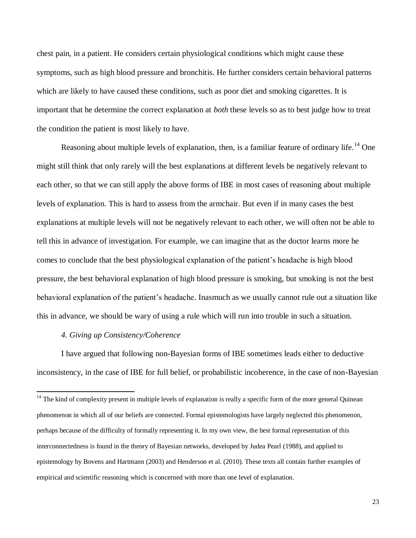chest pain, in a patient. He considers certain physiological conditions which might cause these symptoms, such as high blood pressure and bronchitis. He further considers certain behavioral patterns which are likely to have caused these conditions, such as poor diet and smoking cigarettes. It is important that he determine the correct explanation at *both* these levels so as to best judge how to treat the condition the patient is most likely to have.

Reasoning about multiple levels of explanation, then, is a familiar feature of ordinary life.<sup>14</sup> One might still think that only rarely will the best explanations at different levels be negatively relevant to each other, so that we can still apply the above forms of IBE in most cases of reasoning about multiple levels of explanation. This is hard to assess from the armchair. But even if in many cases the best explanations at multiple levels will not be negatively relevant to each other, we will often not be able to tell this in advance of investigation. For example, we can imagine that as the doctor learns more he comes to conclude that the best physiological explanation of the patient's headache is high blood pressure, the best behavioral explanation of high blood pressure is smoking, but smoking is not the best behavioral explanation of the patient's headache. Inasmuch as we usually cannot rule out a situation like this in advance, we should be wary of using a rule which will run into trouble in such a situation.

## *4. Giving up Consistency/Coherence*

 $\overline{a}$ 

I have argued that following non-Bayesian forms of IBE sometimes leads either to deductive inconsistency, in the case of IBE for full belief, or probabilistic incoherence, in the case of non-Bayesian

<sup>&</sup>lt;sup>14</sup> The kind of complexity present in multiple levels of explanation is really a specific form of the more general Quinean phenomenon in which all of our beliefs are connected. Formal epistemologists have largely neglected this phenomenon, perhaps because of the difficulty of formally representing it. In my own view, the best formal representation of this interconnectedness is found in the theory of Bayesian networks, developed by Judea Pearl (1988), and applied to epistemology by Bovens and Hartmann (2003) and Henderson et al. (2010). These texts all contain further examples of empirical and scientific reasoning which is concerned with more than one level of explanation.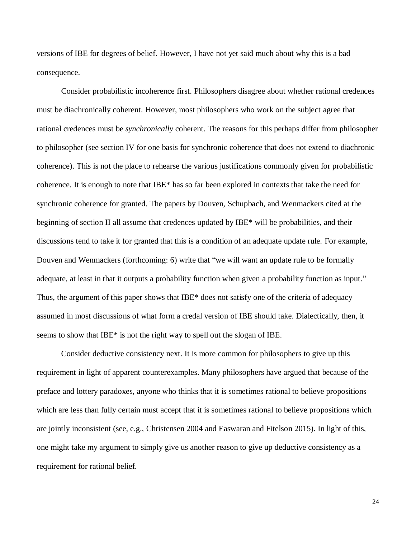versions of IBE for degrees of belief. However, I have not yet said much about why this is a bad consequence.

Consider probabilistic incoherence first. Philosophers disagree about whether rational credences must be diachronically coherent. However, most philosophers who work on the subject agree that rational credences must be *synchronically* coherent. The reasons for this perhaps differ from philosopher to philosopher (see section IV for one basis for synchronic coherence that does not extend to diachronic coherence). This is not the place to rehearse the various justifications commonly given for probabilistic coherence. It is enough to note that IBE\* has so far been explored in contexts that take the need for synchronic coherence for granted. The papers by Douven, Schupbach, and Wenmackers cited at the beginning of section II all assume that credences updated by IBE\* will be probabilities, and their discussions tend to take it for granted that this is a condition of an adequate update rule. For example, Douven and Wenmackers (forthcoming: 6) write that "we will want an update rule to be formally adequate, at least in that it outputs a probability function when given a probability function as input." Thus, the argument of this paper shows that IBE\* does not satisfy one of the criteria of adequacy assumed in most discussions of what form a credal version of IBE should take. Dialectically, then, it seems to show that IBE\* is not the right way to spell out the slogan of IBE.

Consider deductive consistency next. It is more common for philosophers to give up this requirement in light of apparent counterexamples. Many philosophers have argued that because of the preface and lottery paradoxes, anyone who thinks that it is sometimes rational to believe propositions which are less than fully certain must accept that it is sometimes rational to believe propositions which are jointly inconsistent (see, e.g., Christensen 2004 and Easwaran and Fitelson 2015). In light of this, one might take my argument to simply give us another reason to give up deductive consistency as a requirement for rational belief.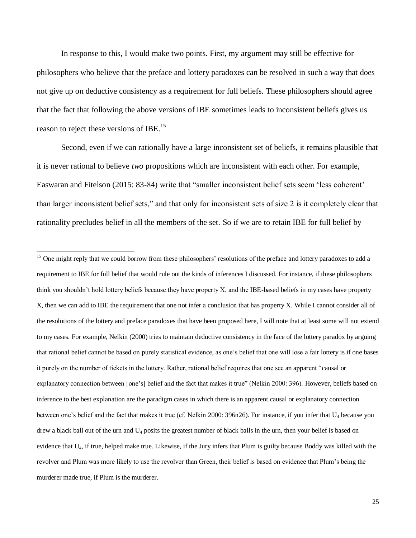In response to this, I would make two points. First, my argument may still be effective for philosophers who believe that the preface and lottery paradoxes can be resolved in such a way that does not give up on deductive consistency as a requirement for full beliefs. These philosophers should agree that the fact that following the above versions of IBE sometimes leads to inconsistent beliefs gives us reason to reject these versions of IBE.<sup>15</sup>

Second, even if we can rationally have a large inconsistent set of beliefs, it remains plausible that it is never rational to believe *two* propositions which are inconsistent with each other. For example, Easwaran and Fitelson (2015: 83-84) write that "smaller inconsistent belief sets seem 'less coherent' than larger inconsistent belief sets," and that only for inconsistent sets of size 2 is it completely clear that rationality precludes belief in all the members of the set. So if we are to retain IBE for full belief by

 $\overline{\phantom{a}}$ 

<sup>&</sup>lt;sup>15</sup> One might reply that we could borrow from these philosophers' resolutions of the preface and lottery paradoxes to add a requirement to IBE for full belief that would rule out the kinds of inferences I discussed. For instance, if these philosophers think you shouldn't hold lottery beliefs because they have property X, and the IBE-based beliefs in my cases have property X, then we can add to IBE the requirement that one not infer a conclusion that has property X. While I cannot consider all of the resolutions of the lottery and preface paradoxes that have been proposed here, I will note that at least some will not extend to my cases. For example, Nelkin (2000) tries to maintain deductive consistency in the face of the lottery paradox by arguing that rational belief cannot be based on purely statistical evidence, as one's belief that one will lose a fair lottery is if one bases it purely on the number of tickets in the lottery. Rather, rational belief requires that one see an apparent "causal or explanatory connection between [one's] belief and the fact that makes it true" (Nelkin 2000: 396). However, beliefs based on inference to the best explanation are the paradigm cases in which there is an apparent causal or explanatory connection between one's belief and the fact that makes it true (cf. Nelkin 2000: 396n26). For instance, if you infer that U<sup>4</sup> because you drew a black ball out of the urn and  $U_4$  posits the greatest number of black balls in the urn, then your belief is based on evidence that U4, if true, helped make true. Likewise, if the Jury infers that Plum is guilty because Boddy was killed with the revolver and Plum was more likely to use the revolver than Green, their belief is based on evidence that Plum's being the murderer made true, if Plum is the murderer.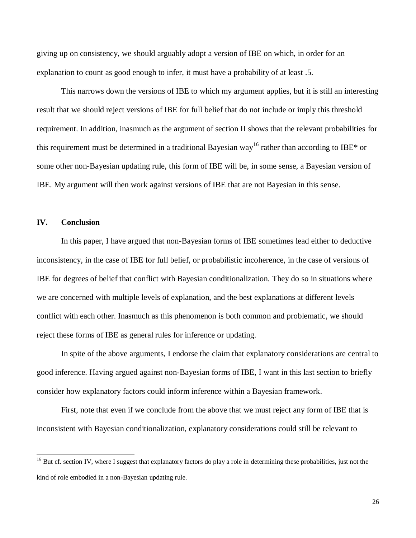giving up on consistency, we should arguably adopt a version of IBE on which, in order for an explanation to count as good enough to infer, it must have a probability of at least .5.

This narrows down the versions of IBE to which my argument applies, but it is still an interesting result that we should reject versions of IBE for full belief that do not include or imply this threshold requirement. In addition, inasmuch as the argument of section II shows that the relevant probabilities for this requirement must be determined in a traditional Bayesian way<sup>16</sup> rather than according to IBE\* or some other non-Bayesian updating rule, this form of IBE will be, in some sense, a Bayesian version of IBE. My argument will then work against versions of IBE that are not Bayesian in this sense.

## **IV. Conclusion**

 $\overline{\phantom{a}}$ 

In this paper, I have argued that non-Bayesian forms of IBE sometimes lead either to deductive inconsistency, in the case of IBE for full belief, or probabilistic incoherence, in the case of versions of IBE for degrees of belief that conflict with Bayesian conditionalization. They do so in situations where we are concerned with multiple levels of explanation, and the best explanations at different levels conflict with each other. Inasmuch as this phenomenon is both common and problematic, we should reject these forms of IBE as general rules for inference or updating.

In spite of the above arguments, I endorse the claim that explanatory considerations are central to good inference. Having argued against non-Bayesian forms of IBE, I want in this last section to briefly consider how explanatory factors could inform inference within a Bayesian framework.

First, note that even if we conclude from the above that we must reject any form of IBE that is inconsistent with Bayesian conditionalization, explanatory considerations could still be relevant to

<sup>&</sup>lt;sup>16</sup> But cf. section IV, where I suggest that explanatory factors do play a role in determining these probabilities, just not the kind of role embodied in a non-Bayesian updating rule.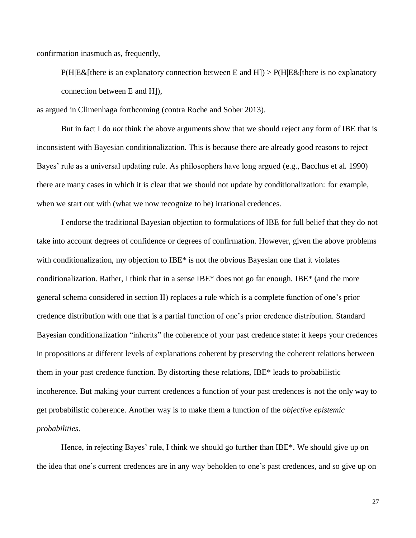confirmation inasmuch as, frequently,

 $P(H|E\&E)$  [there is an explanatory connection between E and H]) >  $P(H|E\&E)$  [there is no explanatory connection between E and H]),

as argued in Climenhaga forthcoming (contra Roche and Sober 2013).

But in fact I do *not* think the above arguments show that we should reject any form of IBE that is inconsistent with Bayesian conditionalization. This is because there are already good reasons to reject Bayes' rule as a universal updating rule. As philosophers have long argued (e.g., Bacchus et al. 1990) there are many cases in which it is clear that we should not update by conditionalization: for example, when we start out with (what we now recognize to be) irrational credences.

I endorse the traditional Bayesian objection to formulations of IBE for full belief that they do not take into account degrees of confidence or degrees of confirmation. However, given the above problems with conditionalization, my objection to IBE<sup>\*</sup> is not the obvious Bayesian one that it violates conditionalization. Rather, I think that in a sense IBE\* does not go far enough. IBE\* (and the more general schema considered in section II) replaces a rule which is a complete function of one's prior credence distribution with one that is a partial function of one's prior credence distribution. Standard Bayesian conditionalization "inherits" the coherence of your past credence state: it keeps your credences in propositions at different levels of explanations coherent by preserving the coherent relations between them in your past credence function. By distorting these relations, IBE\* leads to probabilistic incoherence. But making your current credences a function of your past credences is not the only way to get probabilistic coherence. Another way is to make them a function of the *objective epistemic probabilities*.

Hence, in rejecting Bayes' rule, I think we should go further than IBE\*. We should give up on the idea that one's current credences are in any way beholden to one's past credences, and so give up on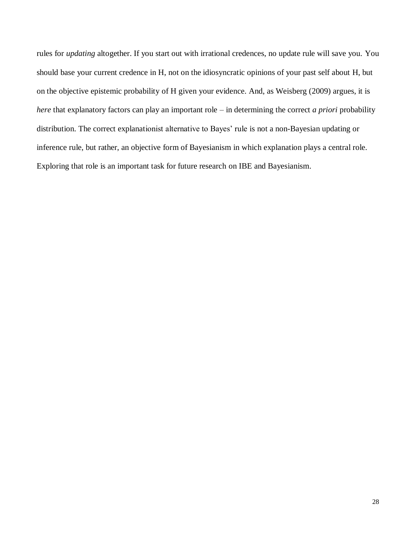rules for *updating* altogether. If you start out with irrational credences, no update rule will save you. You should base your current credence in H, not on the idiosyncratic opinions of your past self about H, but on the objective epistemic probability of H given your evidence. And, as Weisberg (2009) argues, it is *here* that explanatory factors can play an important role – in determining the correct *a priori* probability distribution. The correct explanationist alternative to Bayes' rule is not a non-Bayesian updating or inference rule, but rather, an objective form of Bayesianism in which explanation plays a central role. Exploring that role is an important task for future research on IBE and Bayesianism.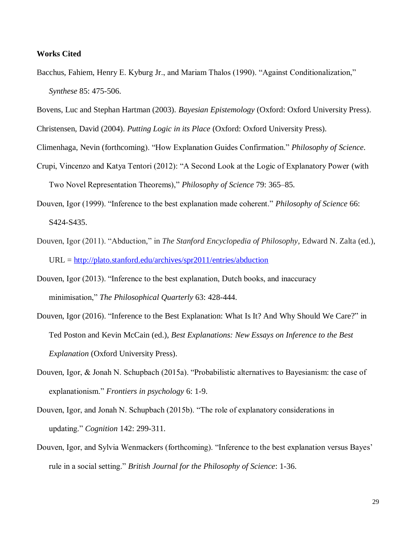## **Works Cited**

Bacchus, Fahiem, Henry E. Kyburg Jr., and Mariam Thalos (1990). "Against Conditionalization," *Synthese* 85: 475-506.

Bovens, Luc and Stephan Hartman (2003). *Bayesian Epistemology* (Oxford: Oxford University Press). Christensen, David (2004). *Putting Logic in its Place* (Oxford: Oxford University Press).

Climenhaga, Nevin (forthcoming). "How Explanation Guides Confirmation." *Philosophy of Science*.

- Crupi, Vincenzo and Katya Tentori (2012): "A Second Look at the Logic of Explanatory Power (with Two Novel Representation Theorems)," *Philosophy of Science* 79: 365–85.
- Douven, Igor (1999). "Inference to the best explanation made coherent." *Philosophy of Science* 66: S424-S435.
- Douven, Igor (2011). "Abduction," in *The Stanford Encyclopedia of Philosophy*, Edward N. Zalta (ed.),  $URL = <http://plato.stanford.edu/archives/spr2011/entries/abduction>$
- Douven, Igor (2013). "Inference to the best explanation, Dutch books, and inaccuracy minimisation," *The Philosophical Quarterly* 63: 428-444.
- Douven, Igor (2016). "Inference to the Best Explanation: What Is It? And Why Should We Care?" in Ted Poston and Kevin McCain (ed.), *Best Explanations: New Essays on Inference to the Best Explanation* (Oxford University Press).
- Douven, Igor, & Jonah N. Schupbach (2015a). "Probabilistic alternatives to Bayesianism: the case of explanationism." *Frontiers in psychology* 6: 1-9.
- Douven, Igor, and Jonah N. Schupbach (2015b). "The role of explanatory considerations in updating." *Cognition* 142: 299-311.
- Douven, Igor, and Sylvia Wenmackers (forthcoming). "Inference to the best explanation versus Bayes' rule in a social setting." *British Journal for the Philosophy of Science*: 1-36.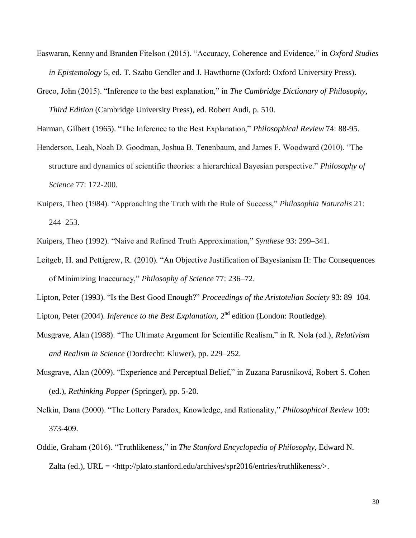- Easwaran, Kenny and Branden Fitelson (2015). "Accuracy, Coherence and Evidence," in *Oxford Studies in Epistemology* 5, ed. T. Szabo Gendler and J. Hawthorne (Oxford: Oxford University Press).
- Greco, John (2015). "Inference to the best explanation," in *The Cambridge Dictionary of Philosophy, Third Edition* (Cambridge University Press), ed. Robert Audi, p. 510.

Harman, Gilbert (1965). "The Inference to the Best Explanation," *Philosophical Review* 74: 88-95.

- Henderson, Leah, Noah D. Goodman, Joshua B. Tenenbaum, and James F. Woodward (2010). "The structure and dynamics of scientific theories: a hierarchical Bayesian perspective." *Philosophy of Science* 77: 172-200.
- Kuipers, Theo (1984). "Approaching the Truth with the Rule of Success," *Philosophia Naturalis* 21: 244–253.

Kuipers, Theo (1992). "Naive and Refined Truth Approximation," *Synthese* 93: 299–341.

Leitgeb, H. and Pettigrew, R. (2010). "An Objective Justification of Bayesianism II: The Consequences of Minimizing Inaccuracy," *Philosophy of Science* 77: 236–72.

Lipton, Peter (1993). "Is the Best Good Enough?" *Proceedings of the Aristotelian Society* 93: 89–104. Lipton, Peter (2004). *Inference to the Best Explanation*, 2<sup>nd</sup> edition (London: Routledge).

- 
- Musgrave, Alan (1988). "The Ultimate Argument for Scientific Realism," in R. Nola (ed.), *Relativism and Realism in Science* (Dordrecht: Kluwer), pp. 229–252.
- Musgrave, Alan (2009). "Experience and Perceptual Belief," in Zuzana Parusniková, Robert S. Cohen (ed.), *Rethinking Popper* (Springer), pp. 5-20.
- Nelkin, Dana (2000). "The Lottery Paradox, Knowledge, and Rationality," *Philosophical Review* 109: 373-409.
- Oddie, Graham (2016). "Truthlikeness," in *The Stanford Encyclopedia of Philosophy*, Edward N. Zalta (ed.), URL =  $\langle$ http://plato.stanford.edu/archives/spr2016/entries/truthlikeness/>.